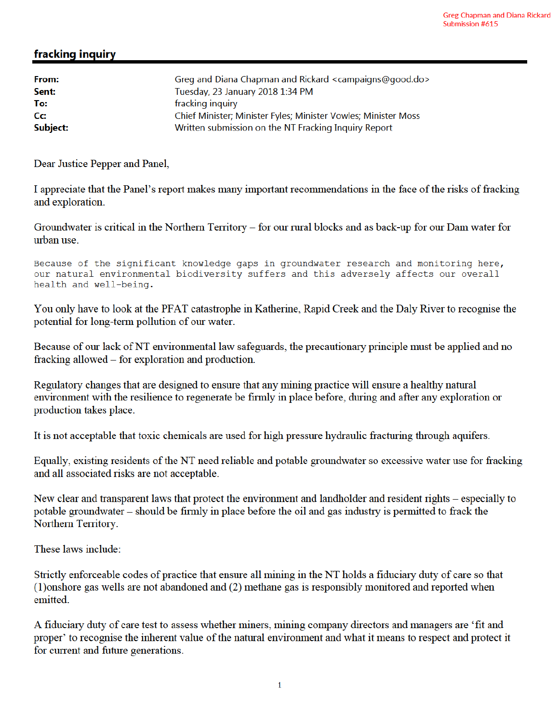## fracking inquiry

| From:    | Greg and Diana Chapman and Rickard <campaigns@good.do></campaigns@good.do> |
|----------|----------------------------------------------------------------------------|
| Sent:    | Tuesday, 23 January 2018 1:34 PM                                           |
| To:      | fracking inquiry                                                           |
| Cc:      | Chief Minister; Minister Fyles; Minister Vowles; Minister Moss             |
| Subject: | Written submission on the NT Fracking Inquiry Report                       |

Dear Justice Pepper and Panel,

I appreciate that the Panel's report makes many important recommendations in the face of the risks of fracking and exploration.

Groundwater is critical in the Northern Territory – for our rural blocks and as back-up for our Dam water for urban use.

Because of the significant knowledge gaps in groundwater research and monitoring here, our natural environmental biodiversity suffers and this adversely affects our overall health and well-being.

You only have to look at the PFAT catastrophe in Katherine, Rapid Creek and the Daly River to recognise the potential for long-term pollution of our water.

Because of our lack of NT environmental law safeguards, the precautionary principle must be applied and no fracking allowed – for exploration and production.

Regulatory changes that are designed to ensure that any mining practice will ensure a healthy natural environment with the resilience to regenerate be firmly in place before, during and after any exploration or production takes place.

It is not acceptable that toxic chemicals are used for high pressure hydraulic fracturing through aquifers.

Equally, existing residents of the NT need reliable and potable groundwater so excessive water use for fracking and all associated risks are not acceptable.

New clear and transparent laws that protect the environment and landholder and resident rights - especially to potable groundwater – should be firmly in place before the oil and gas industry is permitted to frack the Northern Territory.

These laws include:

Strictly enforceable codes of practice that ensure all mining in the NT holds a fiduciary duty of care so that (1) onshore gas wells are not abandoned and (2) methane gas is responsibly monitored and reported when emitted.

A fiduciary duty of care test to assess whether miners, mining company directors and managers are 'fit and proper' to recognise the inherent value of the natural environment and what it means to respect and protect it for current and future generations.